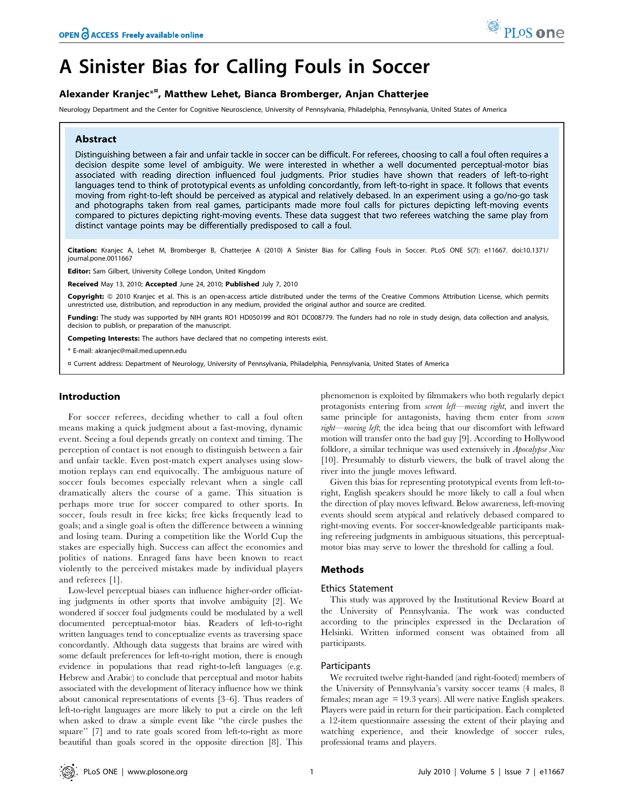# A Sinister Bias for Calling Fouls in Soccer

## Alexander Kranjec $*^{\alpha}$ , Matthew Lehet, Bianca Bromberger, Anjan Chatterjee

Neurology Department and the Center for Cognitive Neuroscience, University of Pennsylvania, Philadelphia, Pennsylvania, United States of America

#### Abstract

Distinguishing between a fair and unfair tackle in soccer can be difficult. For referees, choosing to call a foul often requires a decision despite some level of ambiguity. We were interested in whether a well documented perceptual-motor bias associated with reading direction influenced foul judgments. Prior studies have shown that readers of left-to-right languages tend to think of prototypical events as unfolding concordantly, from left-to-right in space. It follows that events moving from right-to-left should be perceived as atypical and relatively debased. In an experiment using a go/no-go task and photographs taken from real games, participants made more foul calls for pictures depicting left-moving events compared to pictures depicting right-moving events. These data suggest that two referees watching the same play from distinct vantage points may be differentially predisposed to call a foul.

Citation: Kranjec A, Lehet M, Bromberger B, Chatterjee A (2010) A Sinister Bias for Calling Fouls in Soccer. PLoS ONE 5(7): e11667. doi:10.1371/ journal.pone.0011667

Editor: Sam Gilbert, University College London, United Kingdom

Received May 13, 2010; Accepted June 24, 2010; Published July 7, 2010

Copyright: © 2010 Kranjec et al. This is an open-access article distributed under the terms of the Creative Commons Attribution License, which permits unrestricted use, distribution, and reproduction in any medium, provided the original author and source are credited.

Funding: The study was supported by NIH grants RO1 HD050199 and RO1 DC008779. The funders had no role in study design, data collection and analysis, decision to publish, or preparation of the manuscript.

Competing Interests: The authors have declared that no competing interests exist.

\* E-mail: akranjec@mail.med.upenn.edu

¤ Current address: Department of Neurology, University of Pennsylvania, Philadelphia, Pennsylvania, United States of America

#### Introduction

For soccer referees, deciding whether to call a foul often means making a quick judgment about a fast-moving, dynamic event. Seeing a foul depends greatly on context and timing. The perception of contact is not enough to distinguish between a fair and unfair tackle. Even post-match expert analyses using slowmotion replays can end equivocally. The ambiguous nature of soccer fouls becomes especially relevant when a single call dramatically alters the course of a game. This situation is perhaps more true for soccer compared to other sports. In soccer, fouls result in free kicks; free kicks frequently lead to goals; and a single goal is often the difference between a winning and losing team. During a competition like the World Cup the stakes are especially high. Success can affect the economies and politics of nations. Enraged fans have been known to react violently to the perceived mistakes made by individual players and referees [1].

Low-level perceptual biases can influence higher-order officiating judgments in other sports that involve ambiguity [2]. We wondered if soccer foul judgments could be modulated by a well documented perceptual-motor bias. Readers of left-to-right written languages tend to conceptualize events as traversing space concordantly. Although data suggests that brains are wired with some default preferences for left-to-right motion, there is enough evidence in populations that read right-to-left languages (e.g. Hebrew and Arabic) to conclude that perceptual and motor habits associated with the development of literacy influence how we think about canonical representations of events [3–6]. Thus readers of left-to-right languages are more likely to put a circle on the left when asked to draw a simple event like ''the circle pushes the square'' [7] and to rate goals scored from left-to-right as more beautiful than goals scored in the opposite direction [8]. This phenomenon is exploited by filmmakers who both regularly depict protagonists entering from screen left—moving right, and invert the same principle for antagonists, having them enter from screen right—moving left; the idea being that our discomfort with leftward motion will transfer onto the bad guy [9]. According to Hollywood folklore, a similar technique was used extensively in Apocalypse Now [10]. Presumably to disturb viewers, the bulk of travel along the river into the jungle moves leftward.

Given this bias for representing prototypical events from left-toright, English speakers should be more likely to call a foul when the direction of play moves leftward. Below awareness, left-moving events should seem atypical and relatively debased compared to right-moving events. For soccer-knowledgeable participants making refereeing judgments in ambiguous situations, this perceptualmotor bias may serve to lower the threshold for calling a foul.

## Methods

#### Ethics Statement

This study was approved by the Institutional Review Board at the University of Pennsylvania. The work was conducted according to the principles expressed in the Declaration of Helsinki. Written informed consent was obtained from all participants.

#### Participants

We recruited twelve right-handed (and right-footed) members of the University of Pennsylvania's varsity soccer teams (4 males, 8 females; mean age = 19.3 years). All were native English speakers. Players were paid in return for their participation. Each completed a 12-item questionnaire assessing the extent of their playing and watching experience, and their knowledge of soccer rules, professional teams and players.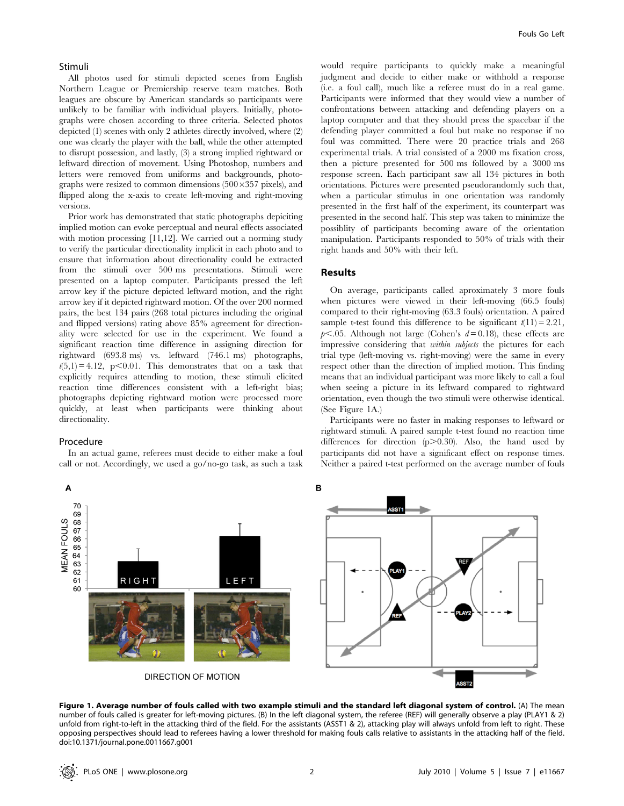#### Stimuli

All photos used for stimuli depicted scenes from English Northern League or Premiership reserve team matches. Both leagues are obscure by American standards so participants were unlikely to be familiar with individual players. Initially, photographs were chosen according to three criteria. Selected photos depicted (1) scenes with only 2 athletes directly involved, where (2) one was clearly the player with the ball, while the other attempted to disrupt possession, and lastly, (3) a strong implied rightward or leftward direction of movement. Using Photoshop, numbers and letters were removed from uniforms and backgrounds, photographs were resized to common dimensions  $(500\times357$  pixels), and flipped along the x-axis to create left-moving and right-moving versions.

Prior work has demonstrated that static photographs depiciting implied motion can evoke perceptual and neural effects associated with motion processing [11,12]. We carried out a norming study to verify the particular directionality implicit in each photo and to ensure that information about directionality could be extracted from the stimuli over 500 ms presentations. Stimuli were presented on a laptop computer. Participants pressed the left arrow key if the picture depicted leftward motion, and the right arrow key if it depicted rightward motion. Of the over 200 normed pairs, the best 134 pairs (268 total pictures including the original and flipped versions) rating above 85% agreement for directionality were selected for use in the experiment. We found a significant reaction time difference in assigning direction for rightward (693.8 ms) vs. leftward (746.1 ms) photographs,  $t(5,1) = 4.12$ , p<0.01. This demonstrates that on a task that explicitly requires attending to motion, these stimuli elicited reaction time differences consistent with a left-right bias; photographs depicting rightward motion were processed more quickly, at least when participants were thinking about directionality.

#### Procedure

In an actual game, referees must decide to either make a foul call or not. Accordingly, we used a go/no-go task, as such a task

would require participants to quickly make a meaningful judgment and decide to either make or withhold a response (i.e. a foul call), much like a referee must do in a real game. Participants were informed that they would view a number of confrontations between attacking and defending players on a laptop computer and that they should press the spacebar if the defending player committed a foul but make no response if no foul was committed. There were 20 practice trials and 268 experimental trials. A trial consisted of a 2000 ms fixation cross, then a picture presented for 500 ms followed by a 3000 ms response screen. Each participant saw all 134 pictures in both orientations. Pictures were presented pseudorandomly such that, when a particular stimulus in one orientation was randomly presented in the first half of the experiment, its counterpart was presented in the second half. This step was taken to minimize the possiblity of participants becoming aware of the orientation manipulation. Participants responded to 50% of trials with their right hands and 50% with their left.

## Results

On average, participants called aproximately 3 more fouls when pictures were viewed in their left-moving (66.5 fouls) compared to their right-moving (63.3 fouls) orientation. A paired sample t-test found this difference to be significant  $t(11) = 2.21$ ,  $p<.05$ . Although not large (Cohen's  $d = 0.18$ ), these effects are impressive considering that within subjects the pictures for each trial type (left-moving vs. right-moving) were the same in every respect other than the direction of implied motion. This finding means that an individual participant was more likely to call a foul when seeing a picture in its leftward compared to rightward orientation, even though the two stimuli were otherwise identical. (See Figure 1A.)

Participants were no faster in making responses to leftward or rightward stimuli. A paired sample t-test found no reaction time differences for direction  $(p>0.30)$ . Also, the hand used by participants did not have a significant effect on response times. Neither a paired t-test performed on the average number of fouls





Figure 1. Average number of fouls called with two example stimuli and the standard left diagonal system of control. (A) The mean number of fouls called is greater for left-moving pictures. (B) In the left diagonal system, the referee (REF) will generally observe a play (PLAY1 & 2) unfold from right-to-left in the attacking third of the field. For the assistants (ASST1 & 2), attacking play will always unfold from left to right. These opposing perspectives should lead to referees having a lower threshold for making fouls calls relative to assistants in the attacking half of the field. doi:10.1371/journal.pone.0011667.g001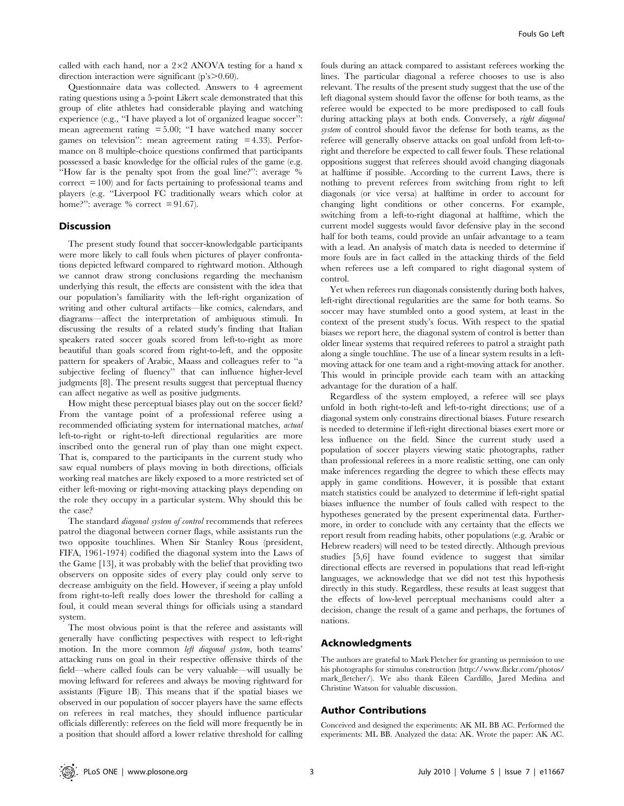called with each hand, nor a  $2\times2$  ANOVA testing for a hand x direction interaction were significant  $(p's > 0.60)$ .

Questionnaire data was collected. Answers to 4 agreement rating questions using a 5-point Likert scale demonstrated that this group of elite athletes had considerable playing and watching experience (e.g., ''I have played a lot of organized league soccer'': mean agreement rating = 5.00; ''I have watched many soccer games on television": mean agreement rating  $= 4.33$ ). Performance on 8 multiple-choice questions confirmed that participants possessed a basic knowledge for the official rules of the game (e.g. ''How far is the penalty spot from the goal line?'': average % correct  $= 100$ ) and for facts pertaining to professional teams and players (e.g. ''Liverpool FC traditionally wears which color at home?": average  $\%$  correct = 91.67).

#### Discussion

The present study found that soccer-knowledgable participants were more likely to call fouls when pictures of player confrontations depicted leftward compared to rightward motion. Although we cannot draw strong conclusions regarding the mechanism underlying this result, the effects are consistent with the idea that our population's familiarity with the left-right organization of writing and other cultural artifacts—like comics, calendars, and diagrams—affect the interpretation of ambiguous stimuli. In discussing the results of a related study's finding that Italian speakers rated soccer goals scored from left-to-right as more beautiful than goals scored from right-to-left, and the opposite pattern for speakers of Arabic, Maass and colleagues refer to ''a subjective feeling of fluency'' that can influence higher-level judgments [8]. The present results suggest that perceptual fluency can affect negative as well as positive judgments.

How might these perceptual biases play out on the soccer field? From the vantage point of a professional referee using a recommended officiating system for international matches, actual left-to-right or right-to-left directional regularities are more inscribed onto the general run of play than one might expect. That is, compared to the participants in the current study who saw equal numbers of plays moving in both directions, officials working real matches are likely exposed to a more restricted set of either left-moving or right-moving attacking plays depending on the role they occupy in a particular system. Why should this be the case?

The standard *diagonal system of control* recommends that referees patrol the diagonal between corner flags, while assistants run the two opposite touchlines. When Sir Stanley Rous (president, FIFA, 1961-1974) codified the diagonal system into the Laws of the Game [13], it was probably with the belief that providing two observers on opposite sides of every play could only serve to decrease ambiguity on the field. However, if seeing a play unfold from right-to-left really does lower the threshold for calling a foul, it could mean several things for officials using a standard system.

The most obvious point is that the referee and assistants will generally have conflicting pespectives with respect to left-right motion. In the more common left diagonal system, both teams' attacking runs on goal in their respective offensive thirds of the field—where called fouls can be very valuable—will usually be moving leftward for referees and always be moving rightward for assistants (Figure 1B). This means that if the spatial biases we observed in our population of soccer players have the same effects on referees in real matches, they should influence particular officials differently: referees on the field will more frequently be in a position that should afford a lower relative threshold for calling fouls during an attack compared to assistant referees working the lines. The particular diagonal a referee chooses to use is also relevant. The results of the present study suggest that the use of the left diagonal system should favor the offense for both teams, as the referee would be expected to be more predisposed to call fouls during attacking plays at both ends. Conversely, a right diagonal system of control should favor the defense for both teams, as the referee will generally observe attacks on goal unfold from left-toright and therefore be expected to call fewer fouls. These relational oppositions suggest that referees should avoid changing diagonals at halftime if possible. According to the current Laws, there is nothing to prevent referees from switching from right to left diagonals (or vice versa) at halftime in order to account for changing light conditions or other concerns. For example, switching from a left-to-right diagonal at halftime, which the current model suggests would favor defensive play in the second half for both teams, could provide an unfair advantage to a team with a lead. An analysis of match data is needed to determine if more fouls are in fact called in the attacking thirds of the field when referees use a left compared to right diagonal system of control.

Yet when referees run diagonals consistently during both halves, left-right directional regularities are the same for both teams. So soccer may have stumbled onto a good system, at least in the context of the present study's focus. With respect to the spatial biases we report here, the diagonal system of control is better than older linear systems that required referees to patrol a straight path along a single touchline. The use of a linear system results in a leftmoving attack for one team and a right-moving attack for another. This would in principle provide each team with an attacking advantage for the duration of a half.

Regardless of the system employed, a referee will see plays unfold in both right-to-left and left-to-right directions; use of a diagonal system only constrains directional biases. Future research is needed to determine if left-right directional biases exert more or less influence on the field. Since the current study used a population of soccer players viewing static photographs, rather than professional referees in a more realistic setting, one can only make inferences regarding the degree to which these effects may apply in game conditions. However, it is possible that extant match statistics could be analyzed to determine if left-right spatial biases influence the number of fouls called with respect to the hypotheses generated by the present experimental data. Furthermore, in order to conclude with any certainty that the effects we report result from reading habits, other populations (e.g. Arabic or Hebrew readers) will need to be tested directly. Although previous studies [5,6] have found evidence to suggest that similar directional effects are reversed in populations that read left-right languages, we acknowledge that we did not test this hypothesis directly in this study. Regardless, these results at least suggest that the effects of low-level perceptual mechanisms could alter a decision, change the result of a game and perhaps, the fortunes of nations.

#### Acknowledgments

The authors are grateful to Mark Fletcher for granting us permission to use his photographs for stimulus construction (http://www.flickr.com/photos/ mark\_fletcher/). We also thank Eileen Cardillo, Jared Medina and Christine Watson for valuable discussion.

#### Author Contributions

Conceived and designed the experiments: AK ML BB AC. Performed the experiments: ML BB. Analyzed the data: AK. Wrote the paper: AK AC.